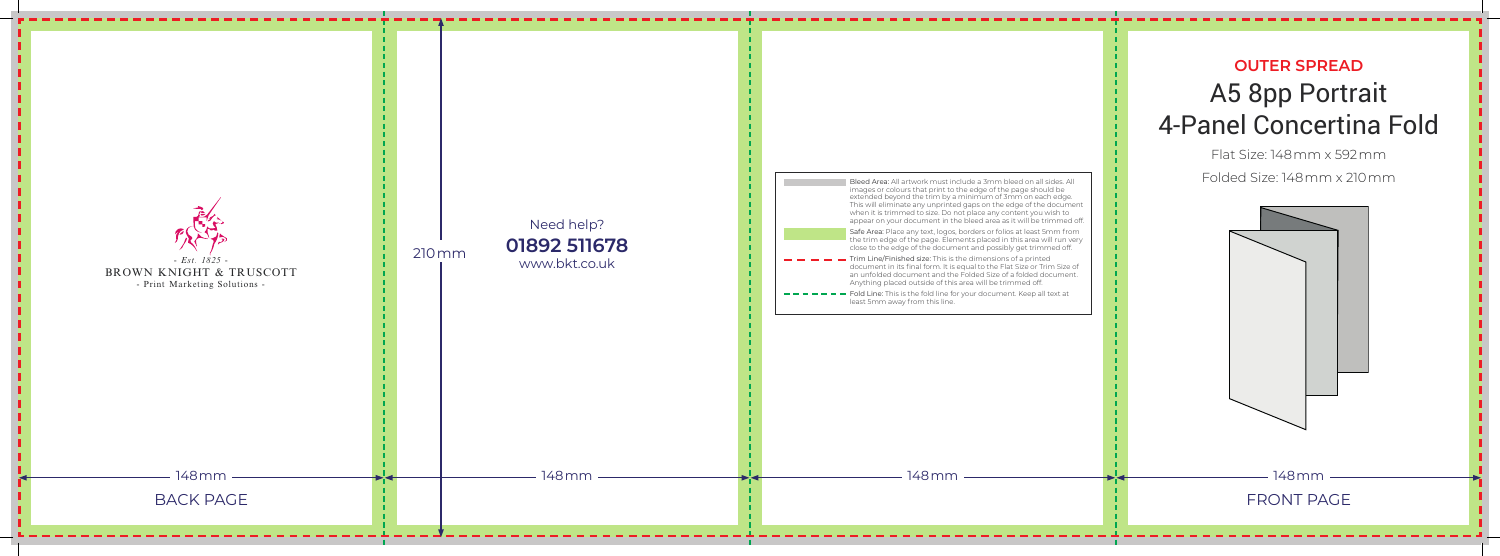